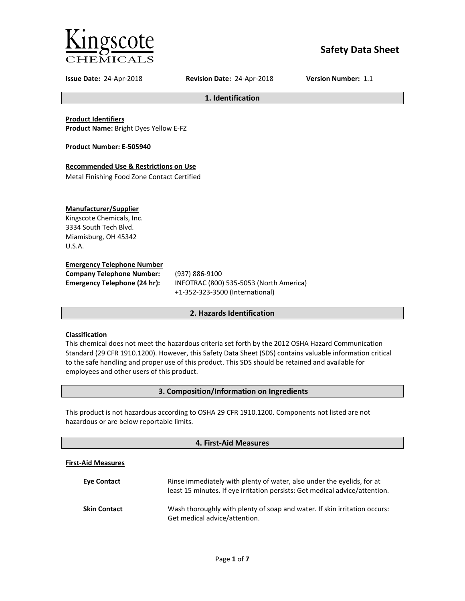

# **Safety Data Sheet**

**Issue Date:** 24-Apr-2018 **Revision Date:** 24-Apr-2018 **Version Number:** 1.1

**1. Identification**

**Product Identifiers Product Name:** Bright Dyes Yellow E-FZ

**Product Number: E-505940**

## **Recommended Use & Restrictions on Use**

Metal Finishing Food Zone Contact Certified

## **Manufacturer/Supplier**

Kingscote Chemicals, Inc. 3334 South Tech Blvd. Miamisburg, OH 45342 U.S.A.

### **Emergency Telephone Number**

**Company Telephone Number:** (937) 886-9100

**Emergency Telephone (24 hr):** INFOTRAC (800) 535-5053 (North America) +1-352-323-3500 (International)

## **2. Hazards Identification**

## **Classification**

This chemical does not meet the hazardous criteria set forth by the 2012 OSHA Hazard Communication Standard (29 CFR 1910.1200). However, this Safety Data Sheet (SDS) contains valuable information critical to the safe handling and proper use of this product. This SDS should be retained and available for employees and other users of this product.

## **3. Composition/Information on Ingredients**

This product is not hazardous according to OSHA 29 CFR 1910.1200. Components not listed are not hazardous or are below reportable limits.

## **4. First-Aid Measures**

#### **First-Aid Measures**

| <b>Eve Contact</b>  | Rinse immediately with plenty of water, also under the eyelids, for at<br>least 15 minutes. If eye irritation persists: Get medical advice/attention. |
|---------------------|-------------------------------------------------------------------------------------------------------------------------------------------------------|
| <b>Skin Contact</b> | Wash thoroughly with plenty of soap and water. If skin irritation occurs:<br>Get medical advice/attention.                                            |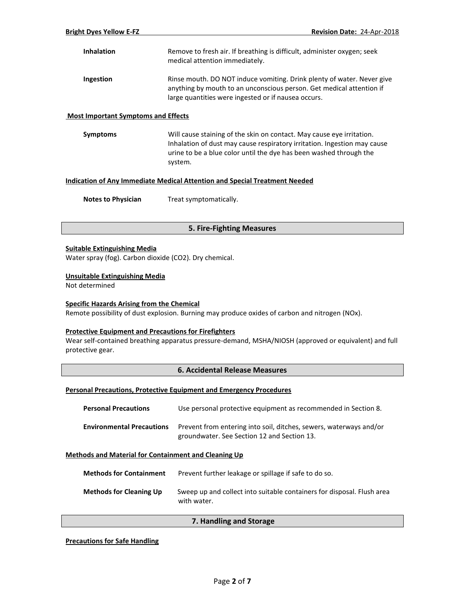| <b>Inhalation</b> | Remove to fresh air. If breathing is difficult, administer oxygen; seek<br>medical attention immediately.                                                                                             |
|-------------------|-------------------------------------------------------------------------------------------------------------------------------------------------------------------------------------------------------|
| Ingestion         | Rinse mouth. DO NOT induce vomiting. Drink plenty of water. Never give<br>anything by mouth to an unconscious person. Get medical attention if<br>large quantities were ingested or if nausea occurs. |

#### **Most Important Symptoms and Effects**

**Symptoms** Will cause staining of the skin on contact. May cause eye irritation. Inhalation of dust may cause respiratory irritation. Ingestion may cause urine to be a blue color until the dye has been washed through the system.

## **Indication of Any Immediate Medical Attention and Special Treatment Needed**

**Notes to Physician** Treat symptomatically.

## **5. Fire-Fighting Measures**

#### **Suitable Extinguishing Media**

Water spray (fog). Carbon dioxide (CO2). Dry chemical.

#### **Unsuitable Extinguishing Media**

Not determined

#### **Specific Hazards Arising from the Chemical**

Remote possibility of dust explosion. Burning may produce oxides of carbon and nitrogen (NOx).

#### **Protective Equipment and Precautions for Firefighters**

Wear self-contained breathing apparatus pressure-demand, MSHA/NIOSH (approved or equivalent) and full protective gear.

#### **6. Accidental Release Measures**

#### **Personal Precautions, Protective Equipment and Emergency Procedures**

| <b>Personal Precautions</b>      | Use personal protective equipment as recommended in Section 8.                                                    |
|----------------------------------|-------------------------------------------------------------------------------------------------------------------|
| <b>Environmental Precautions</b> | Prevent from entering into soil, ditches, sewers, waterways and/or<br>groundwater. See Section 12 and Section 13. |

#### **Methods and Material for Containment and Cleaning Up**

| <b>Methods for Containment</b> | Prevent further leakage or spillage if safe to do so.                                 |
|--------------------------------|---------------------------------------------------------------------------------------|
| <b>Methods for Cleaning Up</b> | Sweep up and collect into suitable containers for disposal. Flush area<br>with water. |

### **7. Handling and Storage**

**Precautions for Safe Handling**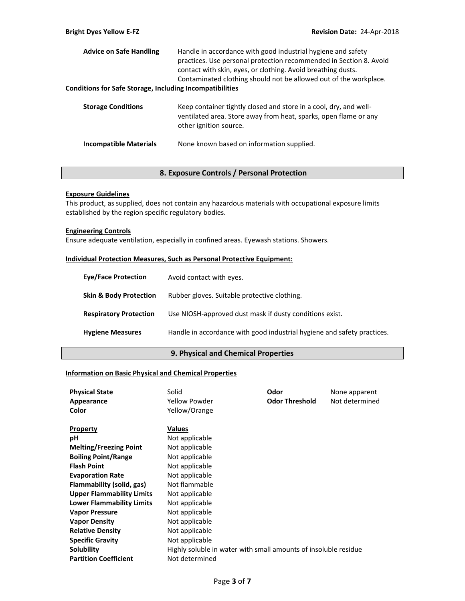| <b>Advice on Safe Handling</b>                                  | Handle in accordance with good industrial hygiene and safety<br>practices. Use personal protection recommended in Section 8. Avoid<br>contact with skin, eyes, or clothing. Avoid breathing dusts.<br>Contaminated clothing should not be allowed out of the workplace. |
|-----------------------------------------------------------------|-------------------------------------------------------------------------------------------------------------------------------------------------------------------------------------------------------------------------------------------------------------------------|
| <b>Conditions for Safe Storage, Including Incompatibilities</b> |                                                                                                                                                                                                                                                                         |
| <b>Storage Conditions</b>                                       | Keep container tightly closed and store in a cool, dry, and well-<br>ventilated area. Store away from heat, sparks, open flame or any<br>other ignition source.                                                                                                         |
| <b>Incompatible Materials</b>                                   | None known based on information supplied.                                                                                                                                                                                                                               |

## **8. Exposure Controls / Personal Protection**

## **Exposure Guidelines**

This product, as supplied, does not contain any hazardous materials with occupational exposure limits established by the region specific regulatory bodies.

### **Engineering Controls**

Ensure adequate ventilation, especially in confined areas. Eyewash stations. Showers.

## **Individual Protection Measures, Such as Personal Protective Equipment:**

| <b>Eve/Face Protection</b>        | Avoid contact with eyes.                                                |
|-----------------------------------|-------------------------------------------------------------------------|
| <b>Skin &amp; Body Protection</b> | Rubber gloves. Suitable protective clothing.                            |
| <b>Respiratory Protection</b>     | Use NIOSH-approved dust mask if dusty conditions exist.                 |
| <b>Hygiene Measures</b>           | Handle in accordance with good industrial hygiene and safety practices. |

## **9. Physical and Chemical Properties**

### **Information on Basic Physical and Chemical Properties**

| <b>Physical State</b>            | Solid                                                           | Odor                  | None apparent  |
|----------------------------------|-----------------------------------------------------------------|-----------------------|----------------|
| Appearance                       | Yellow Powder                                                   | <b>Odor Threshold</b> | Not determined |
| Color                            | Yellow/Orange                                                   |                       |                |
| <b>Property</b>                  | Values                                                          |                       |                |
| рH                               | Not applicable                                                  |                       |                |
| <b>Melting/Freezing Point</b>    | Not applicable                                                  |                       |                |
| <b>Boiling Point/Range</b>       | Not applicable                                                  |                       |                |
| <b>Flash Point</b>               | Not applicable                                                  |                       |                |
| <b>Evaporation Rate</b>          | Not applicable                                                  |                       |                |
| Flammability (solid, gas)        | Not flammable                                                   |                       |                |
| <b>Upper Flammability Limits</b> | Not applicable                                                  |                       |                |
| <b>Lower Flammability Limits</b> | Not applicable                                                  |                       |                |
| <b>Vapor Pressure</b>            | Not applicable                                                  |                       |                |
| <b>Vapor Density</b>             | Not applicable                                                  |                       |                |
| <b>Relative Density</b>          | Not applicable                                                  |                       |                |
| <b>Specific Gravity</b>          | Not applicable                                                  |                       |                |
| Solubility                       | Highly soluble in water with small amounts of insoluble residue |                       |                |
| <b>Partition Coefficient</b>     | Not determined                                                  |                       |                |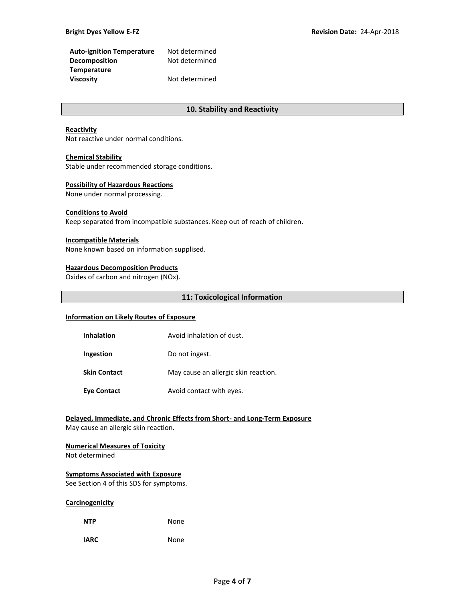| <b>Auto-ignition Temperature</b> | Not determined |
|----------------------------------|----------------|
| <b>Decomposition</b>             | Not determined |
| <b>Temperature</b>               |                |
| <b>Viscosity</b>                 | Not determined |

## **10. Stability and Reactivity**

#### **Reactivity**

Not reactive under normal conditions.

#### **Chemical Stability**

Stable under recommended storage conditions.

#### **Possibility of Hazardous Reactions**

None under normal processing.

## **Conditions to Avoid**

Keep separated from incompatible substances. Keep out of reach of children.

#### **Incompatible Materials**

None known based on information supplised.

#### **Hazardous Decomposition Products**

Oxides of carbon and nitrogen (NOx).

#### **11: Toxicological Information**

### **Information on Likely Routes of Exposure**

| <b>Inhalation</b>   | Avoid inhalation of dust.            |
|---------------------|--------------------------------------|
| Ingestion           | Do not ingest.                       |
| <b>Skin Contact</b> | May cause an allergic skin reaction. |
| <b>Eye Contact</b>  | Avoid contact with eyes.             |

## **Delayed, Immediate, and Chronic Effects from Short- and Long-Term Exposure**

May cause an allergic skin reaction.

#### **Numerical Measures of Toxicity**

Not determined

#### **Symptoms Associated with Exposure**

See Section 4 of this SDS for symptoms.

#### **Carcinogenicity**

| <b>NTP</b> | None |
|------------|------|
|            |      |

**IARC** None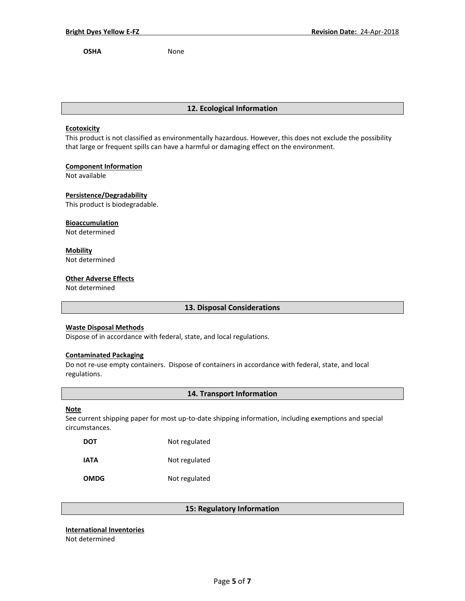**OSHA** None

## **12. Ecological Information**

#### **Ecotoxicity**

This product is not classified as environmentally hazardous. However, this does not exclude the possibility that large or frequent spills can have a harmful or damaging effect on the environment.

## **Component Information**

Not available

**Persistence/Degradability**

This product is biodegradable.

### **Bioaccumulation**

Not determined

## **Mobility**

Not determined

## **Other Adverse Effects**

Not determined

## **13. Disposal Considerations**

## **Waste Disposal Methods**

Dispose of in accordance with federal, state, and local regulations.

#### **Contaminated Packaging**

Do not re-use empty containers.Dispose of containers in accordance with federal, state, and local regulations.

## **14. Transport Information**

#### **Note**

See current shipping paper for most up-to-date shipping information, including exemptions and special circumstances.

| <b>DOT</b>  | Not regulated |
|-------------|---------------|
| IATA        | Not regulated |
| <b>OMDG</b> | Not regulated |

## **15: Regulatory Information**

### **International Inventories**

Not determined